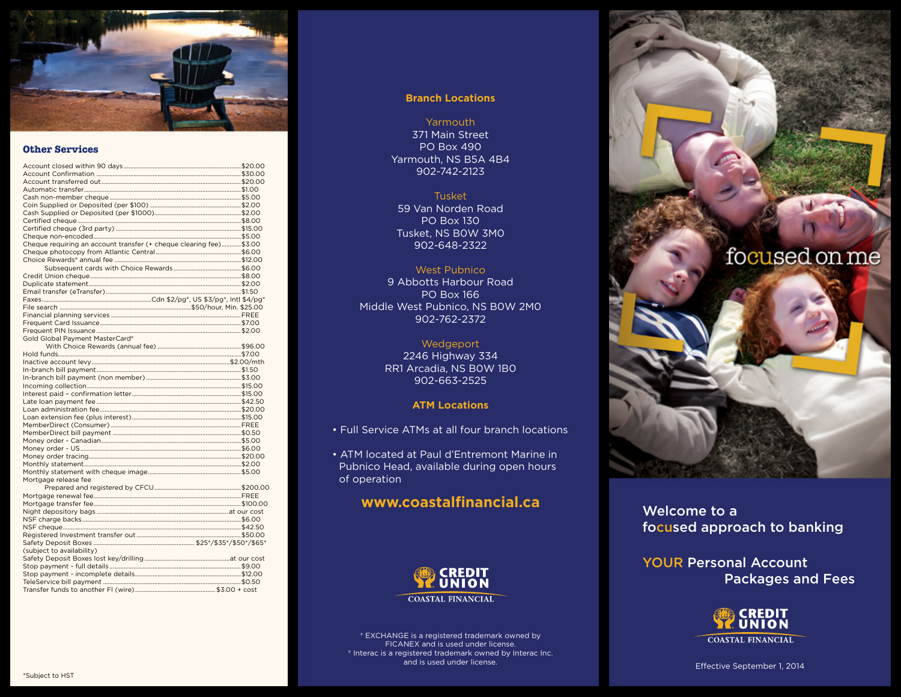

# **Other Services**

| Cheque requiring an account transfer (+ cheque clearing fee) \$3.00 |  |
|---------------------------------------------------------------------|--|
|                                                                     |  |
|                                                                     |  |
|                                                                     |  |
|                                                                     |  |
|                                                                     |  |
|                                                                     |  |
|                                                                     |  |
|                                                                     |  |
|                                                                     |  |
|                                                                     |  |
|                                                                     |  |
| Gold Global Payment MasterCard®                                     |  |
|                                                                     |  |
|                                                                     |  |
|                                                                     |  |
|                                                                     |  |
|                                                                     |  |
|                                                                     |  |
|                                                                     |  |
|                                                                     |  |
|                                                                     |  |
|                                                                     |  |
|                                                                     |  |
|                                                                     |  |
|                                                                     |  |
|                                                                     |  |
|                                                                     |  |
|                                                                     |  |
|                                                                     |  |
| Mortgage release fee                                                |  |
|                                                                     |  |
|                                                                     |  |
|                                                                     |  |
|                                                                     |  |
|                                                                     |  |
|                                                                     |  |
|                                                                     |  |
|                                                                     |  |
| (subject to availability)                                           |  |
|                                                                     |  |
|                                                                     |  |
|                                                                     |  |
|                                                                     |  |
|                                                                     |  |

# **Branch Locations**

Yarmouth 371 Main Street PO Box 490 Yarmouth, NS B5A 4B4 902-742-2123

# Tusket

59 Van Norden Road PO Box 130 Tusket, NS B0W 3M0 902-648-2322

# West Pubnico

9 Abbotts Harbour Road PO Box 166 Middle West Pubnico, NS B0W 2M0 902-762-2372

# Wedgeport

2246 Highway 334 RR1 Arcadia, NS B0W 1B0 902-663-2525

# **ATM Locations**

• Full Service ATMs at all four branch locations

• ATM located at Paul d'Entremont Marine in Pubnico Head, available during open hours of operation

# **www.coastalfinancial.ca**



® EXCHANGE is a registered trademark owned by FICANEX and is used under license. ® Interac is a registered trademark owned by Interac Inc. and is used under license.



Welcome to a focused approach to banking

YOUR Personal Account Packages and Fees